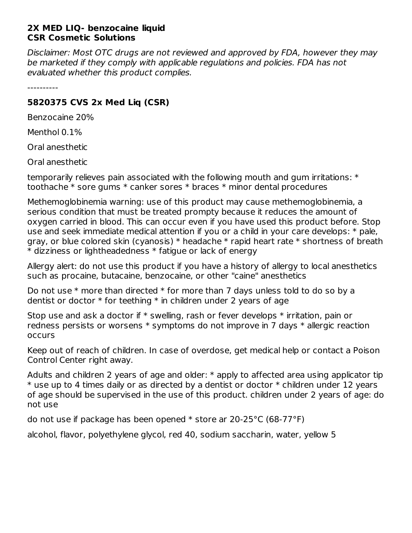## **2X MED LIQ- benzocaine liquid CSR Cosmetic Solutions**

Disclaimer: Most OTC drugs are not reviewed and approved by FDA, however they may be marketed if they comply with applicable regulations and policies. FDA has not evaluated whether this product complies.

----------

## **5820375 CVS 2x Med Liq (CSR)**

Benzocaine 20%

Menthol 0.1%

Oral anesthetic

Oral anesthetic

temporarily relieves pain associated with the following mouth and gum irritations: \* toothache \* sore gums \* canker sores \* braces \* minor dental procedures

Methemoglobinemia warning: use of this product may cause methemoglobinemia, a serious condition that must be treated prompty because it reduces the amount of oxygen carried in blood. This can occur even if you have used this product before. Stop use and seek immediate medical attention if you or a child in your care develops: \* pale, gray, or blue colored skin (cyanosis) \* headache \* rapid heart rate \* shortness of breath \* dizziness or lightheadedness \* fatigue or lack of energy

Allergy alert: do not use this product if you have a history of allergy to local anesthetics such as procaine, butacaine, benzocaine, or other "caine" anesthetics

Do not use  $*$  more than directed  $*$  for more than 7 days unless told to do so by a dentist or doctor  $*$  for teething  $*$  in children under 2 years of age

Stop use and ask a doctor if  $*$  swelling, rash or fever develops  $*$  irritation, pain or redness persists or worsens \* symptoms do not improve in 7 days \* allergic reaction occurs

Keep out of reach of children. In case of overdose, get medical help or contact a Poison Control Center right away.

Adults and children 2 years of age and older: \* apply to affected area using applicator tip \* use up to 4 times daily or as directed by a dentist or doctor \* children under 12 years of age should be supervised in the use of this product. children under 2 years of age: do not use

do not use if package has been opened \* store ar 20-25°C (68-77°F)

alcohol, flavor, polyethylene glycol, red 40, sodium saccharin, water, yellow 5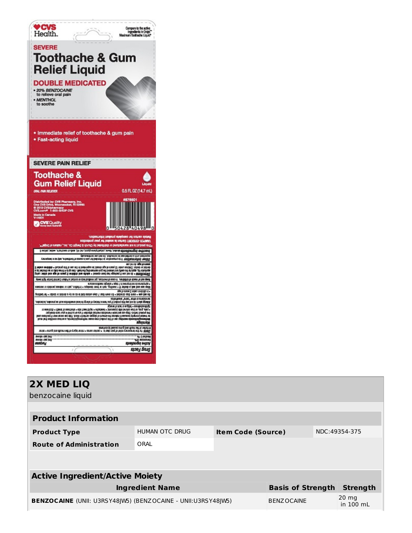

| 2X MED LIQ<br>benzocaine liquid                                     |                |                           |                          |               |                              |  |  |
|---------------------------------------------------------------------|----------------|---------------------------|--------------------------|---------------|------------------------------|--|--|
| <b>Product Information</b>                                          |                |                           |                          |               |                              |  |  |
| <b>Product Type</b>                                                 | HUMAN OTC DRUG | <b>Item Code (Source)</b> |                          | NDC:49354-375 |                              |  |  |
| <b>Route of Administration</b>                                      | ORAL           |                           |                          |               |                              |  |  |
|                                                                     |                |                           |                          |               |                              |  |  |
| <b>Active Ingredient/Active Moiety</b>                              |                |                           |                          |               |                              |  |  |
| <b>Ingredient Name</b>                                              |                |                           | <b>Basis of Strength</b> |               | <b>Strength</b>              |  |  |
| <b>BENZOCAINE</b> (UNII: U3RSY48JW5) (BENZOCAINE - UNII:U3RSY48JW5) |                |                           | <b>BENZOCAINE</b>        |               | $20 \text{ mg}$<br>in 100 mL |  |  |